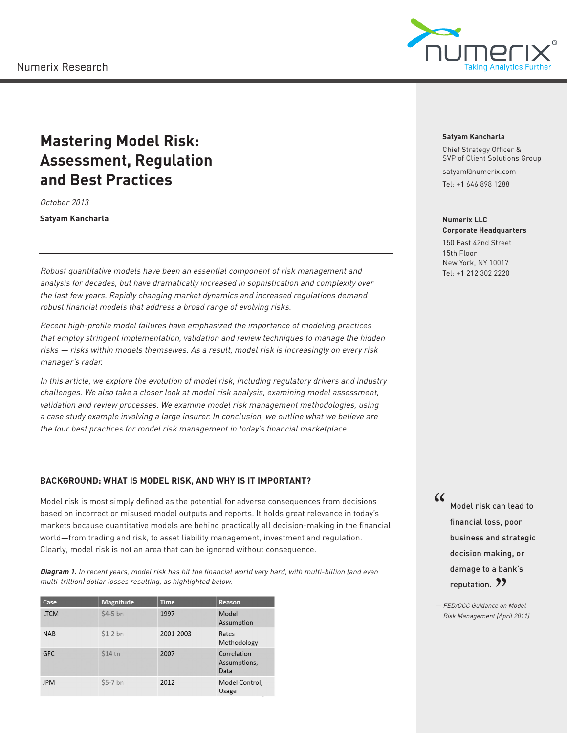

# **Mastering Model Risk: Assessment, Regulation and Best Practices**

October 2013

**Satyam Kancharla**

Robust quantitative models have been an essential component of risk management and analysis for decades, but have dramatically increased in sophistication and complexity over the last few years. Rapidly changing market dynamics and increased regulations demand robust financial models that address a broad range of evolving risks.

Recent high-profile model failures have emphasized the importance of modeling practices that employ stringent implementation, validation and review techniques to manage the hidden risks — risks within models themselves. As a result, model risk is increasingly on every risk manager's radar.

In this article, we explore the evolution of model risk, including regulatory drivers and industry challenges. We also take a closer look at model risk analysis, examining model assessment, validation and review processes. We examine model risk management methodologies, using a case study example involving a large insurer. In conclusion, we outline what we believe are the four best practices for model risk management in today's financial marketplace.

# **BACKGROUND: WHAT IS MODEL RISK, AND WHY IS IT IMPORTANT?**

Model risk is most simply defined as the potential for adverse consequences from decisions based on incorrect or misused model outputs and reports. It holds great relevance in today's markets because quantitative models are behind practically all decision-making in the financial world—from trading and risk, to asset liability management, investment and regulation. Clearly, model risk is not an area that can be ignored without consequence.

**Diagram 1.** In recent years, model risk has hit the financial world very hard, with multi-billion (and even multi-trillion) dollar losses resulting, as highlighted below.

| Case        | <b>Magnitude</b> | <b>Time</b> | Reason                              |
|-------------|------------------|-------------|-------------------------------------|
| <b>LTCM</b> | $$4-5$ bn        | 1997        | Model<br>Assumption                 |
| <b>NAB</b>  | $$1-2$ bn        | 2001-2003   | Rates<br>Methodology                |
| <b>GFC</b>  | \$14 tn          | $2007 -$    | Correlation<br>Assumptions,<br>Data |
| <b>JPM</b>  | \$5-7 bn         | 2012        | Model Control.<br>Usage             |

#### **Satyam Kancharla**

Chief Strategy Officer & SVP of Client Solutions Group

satyam@numerix.com

Tel: +1 646 898 1288

#### **Numerix LLC Corporate Headquarters**

150 East 42nd Street 15th Floor New York, NY 10017 Tel: +1 212 302 2220

" Model risk can lead to financial loss, poor business and strategic decision making, or damage to a bank's reputation. 77

reputation. "<br>= FED/OCC Guidance on Model"<br>Pick Monagement (April 2011) Risk Management (April 2011)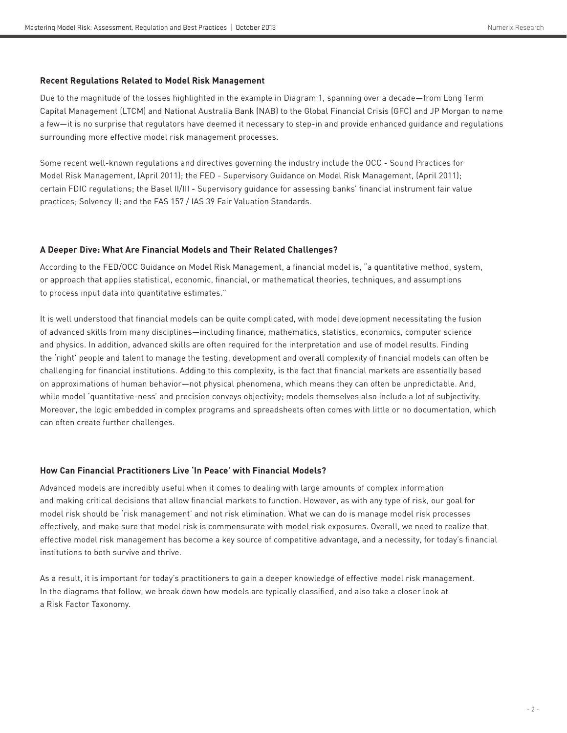#### **Recent Regulations Related to Model Risk Management**

Due to the magnitude of the losses highlighted in the example in Diagram 1, spanning over a decade—from Long Term Capital Management (LTCM) and National Australia Bank (NAB) to the Global Financial Crisis (GFC) and JP Morgan to name a few—it is no surprise that regulators have deemed it necessary to step-in and provide enhanced guidance and regulations surrounding more effective model risk management processes.

Some recent well-known regulations and directives governing the industry include the OCC - Sound Practices for Model Risk Management, (April 2011); the FED - Supervisory Guidance on Model Risk Management, (April 2011); certain FDIC regulations; the Basel II/III - Supervisory guidance for assessing banks' financial instrument fair value practices; Solvency II; and the FAS 157 / IAS 39 Fair Valuation Standards.

# **A Deeper Dive: What Are Financial Models and Their Related Challenges?**

According to the FED/OCC Guidance on Model Risk Management, a financial model is, "a quantitative method, system, or approach that applies statistical, economic, financial, or mathematical theories, techniques, and assumptions to process input data into quantitative estimates."

It is well understood that financial models can be quite complicated, with model development necessitating the fusion of advanced skills from many disciplines—including finance, mathematics, statistics, economics, computer science and physics. In addition, advanced skills are often required for the interpretation and use of model results. Finding the 'right' people and talent to manage the testing, development and overall complexity of financial models can often be challenging for financial institutions. Adding to this complexity, is the fact that financial markets are essentially based on approximations of human behavior—not physical phenomena, which means they can often be unpredictable. And, while model 'quantitative-ness' and precision conveys objectivity; models themselves also include a lot of subjectivity. Moreover, the logic embedded in complex programs and spreadsheets often comes with little or no documentation, which can often create further challenges.

# **How Can Financial Practitioners Live 'In Peace' with Financial Models?**

Advanced models are incredibly useful when it comes to dealing with large amounts of complex information and making critical decisions that allow financial markets to function. However, as with any type of risk, our goal for model risk should be 'risk management' and not risk elimination. What we can do is manage model risk processes effectively, and make sure that model risk is commensurate with model risk exposures. Overall, we need to realize that effective model risk management has become a key source of competitive advantage, and a necessity, for today's financial institutions to both survive and thrive.

As a result, it is important for today's practitioners to gain a deeper knowledge of effective model risk management. In the diagrams that follow, we break down how models are typically classified, and also take a closer look at a Risk Factor Taxonomy.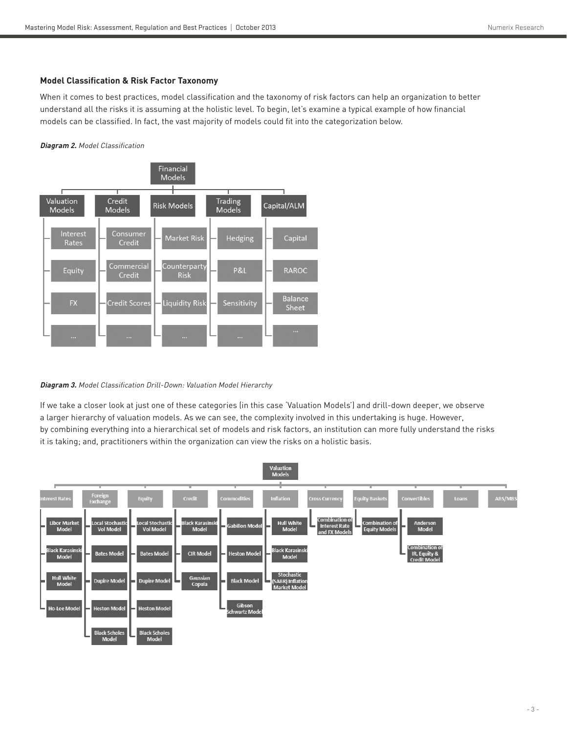# **Model Classification & Risk Factor Taxonomy**

When it comes to best practices, model classification and the taxonomy of risk factors can help an organization to better understand all the risks it is assuming at the holistic level. To begin, let's examine a typical example of how financial models can be classified. In fact, the vast majority of models could fit into the categorization below.

# **Diagram 2.** Model Classification



# **Diagram 3.** Model Classification Drill-Down: Valuation Model Hierarchy

If we take a closer look at just one of these categories (in this case 'Valuation Models') and drill-down deeper, we observe a larger hierarchy of valuation models. As we can see, the complexity involved in this undertaking is huge. However, by combining everything into a hierarchical set of models and risk factors, an institution can more fully understand the risks it is taking; and, practitioners within the organization can view the risks on a holistic basis.

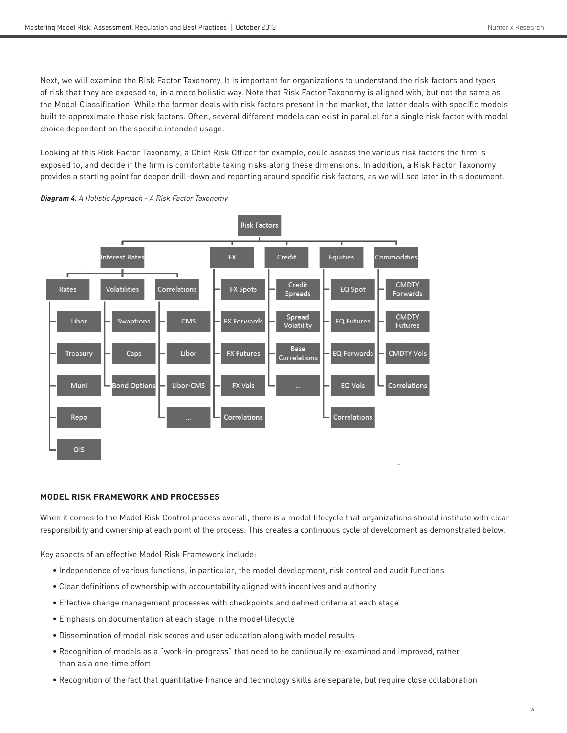Next, we will examine the Risk Factor Taxonomy. It is important for organizations to understand the risk factors and types of risk that they are exposed to, in a more holistic way. Note that Risk Factor Taxonomy is aligned with, but not the same as the Model Classification. While the former deals with risk factors present in the market, the latter deals with specific models built to approximate those risk factors. Often, several different models can exist in parallel for a single risk factor with model choice dependent on the specific intended usage.

Looking at this Risk Factor Taxonomy, a Chief Risk Officer for example, could assess the various risk factors the firm is exposed to, and decide if the firm is comfortable taking risks along these dimensions. In addition, a Risk Factor Taxonomy provides a starting point for deeper drill-down and reporting around specific risk factors, as we will see later in this document.



**Diagram 4.** A Holistic Approach - A Risk Factor Taxonomy

# **MODEL RISK FRAMEWORK AND PROCESSES**

When it comes to the Model Risk Control process overall, there is a model lifecycle that organizations should institute with clear responsibility and ownership at each point of the process. This creates a continuous cycle of development as demonstrated below.

Key aspects of an effective Model Risk Framework include:

- Independence of various functions, in particular, the model development, risk control and audit functions
- Clear definitions of ownership with accountability aligned with incentives and authority
- Effective change management processes with checkpoints and defined criteria at each stage
- Emphasis on documentation at each stage in the model lifecycle
- Dissemination of model risk scores and user education along with model results
- Recognition of models as a "work-in-progress" that need to be continually re-examined and improved, rather than as a one-time effort
- Recognition of the fact that quantitative finance and technology skills are separate, but require close collaboration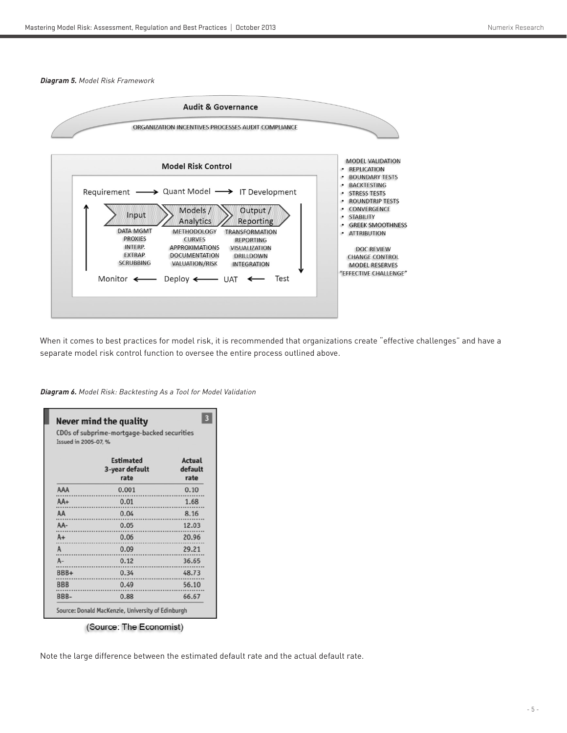#### **Diagram 5.** Model Risk Framework



When it comes to best practices for model risk, it is recommended that organizations create "effective challenges" and have a separate model risk control function to oversee the entire process outlined above.

**Diagram 6.** Model Risk: Backtesting As a Tool for Model Validation

| Issued in 2005-07, % | CDOs of subprime-mortgage-backed securities |                                  |
|----------------------|---------------------------------------------|----------------------------------|
|                      | <b>Estimated</b><br>3-year default<br>rate  | <b>Actual</b><br>default<br>rate |
| AAA                  | 0.001                                       | 0.10                             |
| $AA+$                | 0.01                                        | 1.68                             |
| AA                   | 0.04                                        | 8.16                             |
| AA-                  | 0.05                                        | 12.03                            |
| $A +$                | 0.06                                        | 20.96                            |
| A                    | 0.09                                        | 29.21                            |
| $A -$                | 0.12                                        | 36.65                            |
| BBB+                 | 0.34                                        | 48.73                            |
| <b>BBB</b>           | 0.49                                        | 56.10                            |
| BBB-                 | 0.88                                        | 66.67                            |

(Source: The Economist)

Note the large difference between the estimated default rate and the actual default rate.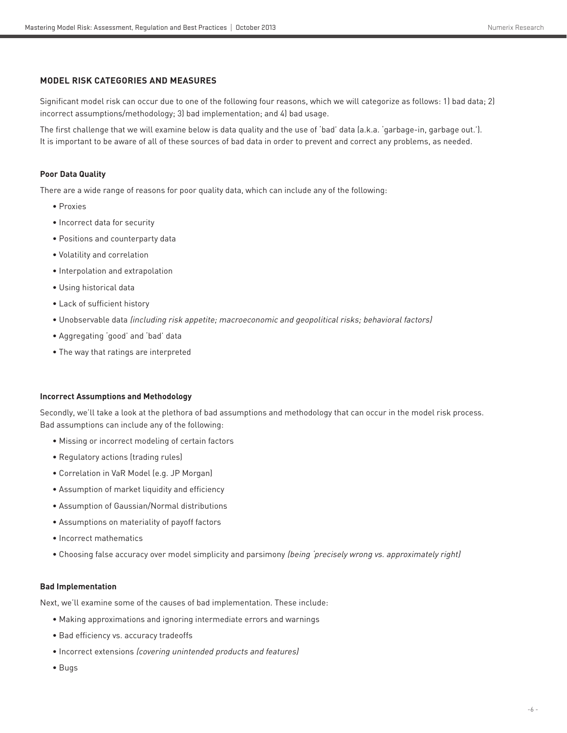#### **MODEL RISK CATEGORIES AND MEASURES**

Significant model risk can occur due to one of the following four reasons, which we will categorize as follows: 1) bad data; 2) incorrect assumptions/methodology; 3) bad implementation; and 4) bad usage.

The first challenge that we will examine below is data quality and the use of 'bad' data (a.k.a. 'garbage-in, garbage out.'). It is important to be aware of all of these sources of bad data in order to prevent and correct any problems, as needed.

# **Poor Data Quality**

There are a wide range of reasons for poor quality data, which can include any of the following:

- Proxies
- Incorrect data for security
- Positions and counterparty data
- Volatility and correlation
- Interpolation and extrapolation
- Using historical data
- Lack of sufficient history
- Unobservable data (including risk appetite; macroeconomic and geopolitical risks; behavioral factors)
- Aggregating 'good' and 'bad' data
- The way that ratings are interpreted

#### **Incorrect Assumptions and Methodology**

Secondly, we'll take a look at the plethora of bad assumptions and methodology that can occur in the model risk process. Bad assumptions can include any of the following:

- Missing or incorrect modeling of certain factors
- Regulatory actions (trading rules)
- Correlation in VaR Model (e.g. JP Morgan)
- Assumption of market liquidity and efficiency
- Assumption of Gaussian/Normal distributions
- Assumptions on materiality of payoff factors
- Incorrect mathematics
- Choosing false accuracy over model simplicity and parsimony (being 'precisely wrong vs. approximately right)

#### **Bad Implementation**

Next, we'll examine some of the causes of bad implementation. These include:

- Making approximations and ignoring intermediate errors and warnings
- Bad efficiency vs. accuracy tradeoffs
- Incorrect extensions (covering unintended products and features)
- Bugs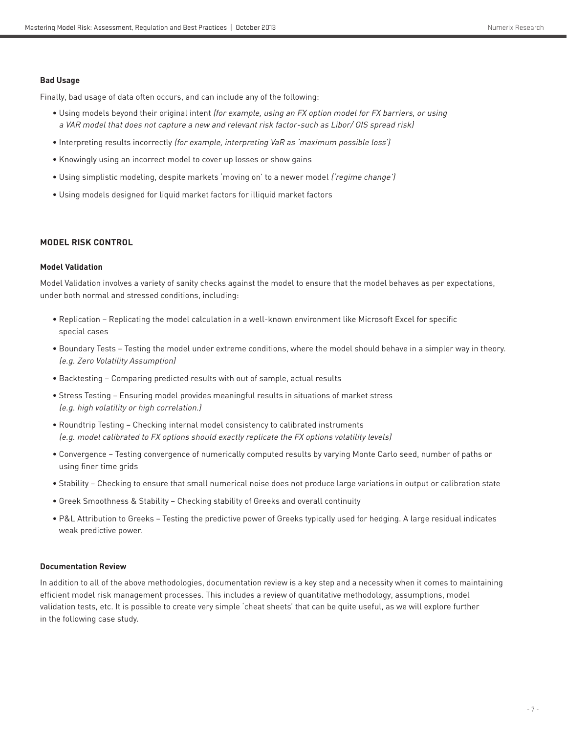#### **Bad Usage**

Finally, bad usage of data often occurs, and can include any of the following:

- Using models beyond their original intent (for example, using an FX option model for FX barriers, or using a VAR model that does not capture a new and relevant risk factor-such as Libor/ OIS spread risk)
- Interpreting results incorrectly (for example, interpreting VaR as 'maximum possible loss')
- Knowingly using an incorrect model to cover up losses or show gains
- Using simplistic modeling, despite markets 'moving on' to a newer model ('regime change')
- Using models designed for liquid market factors for illiquid market factors

#### **MODEL RISK CONTROL**

# **Model Validation**

Model Validation involves a variety of sanity checks against the model to ensure that the model behaves as per expectations, under both normal and stressed conditions, including:

- Replication Replicating the model calculation in a well-known environment like Microsoft Excel for specific special cases
- Boundary Tests Testing the model under extreme conditions, where the model should behave in a simpler way in theory. (e.g. Zero Volatility Assumption)
- Backtesting Comparing predicted results with out of sample, actual results
- Stress Testing Ensuring model provides meaningful results in situations of market stress (e.g. high volatility or high correlation.)
- Roundtrip Testing Checking internal model consistency to calibrated instruments (e.g. model calibrated to FX options should exactly replicate the FX options volatility levels)
- Convergence Testing convergence of numerically computed results by varying Monte Carlo seed, number of paths or using finer time grids
- Stability Checking to ensure that small numerical noise does not produce large variations in output or calibration state
- Greek Smoothness & Stability Checking stability of Greeks and overall continuity
- P&L Attribution to Greeks Testing the predictive power of Greeks typically used for hedging. A large residual indicates weak predictive power.

#### **Documentation Review**

In addition to all of the above methodologies, documentation review is a key step and a necessity when it comes to maintaining efficient model risk management processes. This includes a review of quantitative methodology, assumptions, model validation tests, etc. It is possible to create very simple 'cheat sheets' that can be quite useful, as we will explore further in the following case study.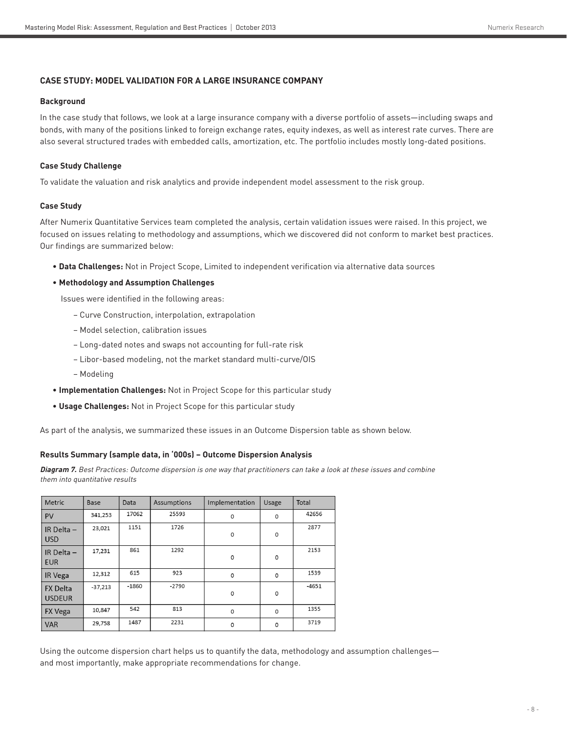# **CASE STUDY: MODEL VALIDATION FOR A LARGE INSURANCE COMPANY**

#### **Background**

In the case study that follows, we look at a large insurance company with a diverse portfolio of assets—including swaps and bonds, with many of the positions linked to foreign exchange rates, equity indexes, as well as interest rate curves. There are also several structured trades with embedded calls, amortization, etc. The portfolio includes mostly long-dated positions.

# **Case Study Challenge**

To validate the valuation and risk analytics and provide independent model assessment to the risk group.

# **Case Study**

After Numerix Quantitative Services team completed the analysis, certain validation issues were raised. In this project, we focused on issues relating to methodology and assumptions, which we discovered did not conform to market best practices. Our findings are summarized below:

• **Data Challenges:** Not in Project Scope, Limited to independent verification via alternative data sources

# • **Methodology and Assumption Challenges**

Issues were identified in the following areas:

- Curve Construction, interpolation, extrapolation
- Model selection, calibration issues
- Long-dated notes and swaps not accounting for full-rate risk
- Libor-based modeling, not the market standard multi-curve/OIS
- Modeling
- **Implementation Challenges:** Not in Project Scope for this particular study
- **Usage Challenges:** Not in Project Scope for this particular study

As part of the analysis, we summarized these issues in an Outcome Dispersion table as shown below.

# **Results Summary (sample data, in '000s) – Outcome Dispersion Analysis**

**Diagram 7.** Best Practices: Outcome dispersion is one way that practitioners can take a look at these issues and combine them into quantitative results

| Metric                           | <b>Base</b> | Data    | Assumptions | Implementation | Usage | Total   |
|----------------------------------|-------------|---------|-------------|----------------|-------|---------|
| <b>PV</b>                        | 341,253     | 17062   | 25593       | $\Omega$       | 0     | 42656   |
| IR Delta -<br><b>USD</b>         | 23,021      | 1151    | 1726        | 0              | 0     | 2877    |
| IR Delta $-$<br><b>EUR</b>       | 17,231      | 861     | 1292        | $\mathbf 0$    | 0     | 2153    |
| IR Vega                          | 12,312      | 615     | 923         | $\mathbf 0$    | 0     | 1539    |
| <b>FX Delta</b><br><b>USDEUR</b> | $-37,213$   | $-1860$ | $-2790$     | $\mathbf 0$    | 0     | $-4651$ |
| <b>FX Vega</b>                   | 10,847      | 542     | 813         | $\mathbf 0$    | 0     | 1355    |
| <b>VAR</b>                       | 29,758      | 1487    | 2231        | 0              | 0     | 3719    |

Using the outcome dispersion chart helps us to quantify the data, methodology and assumption challenges and most importantly, make appropriate recommendations for change.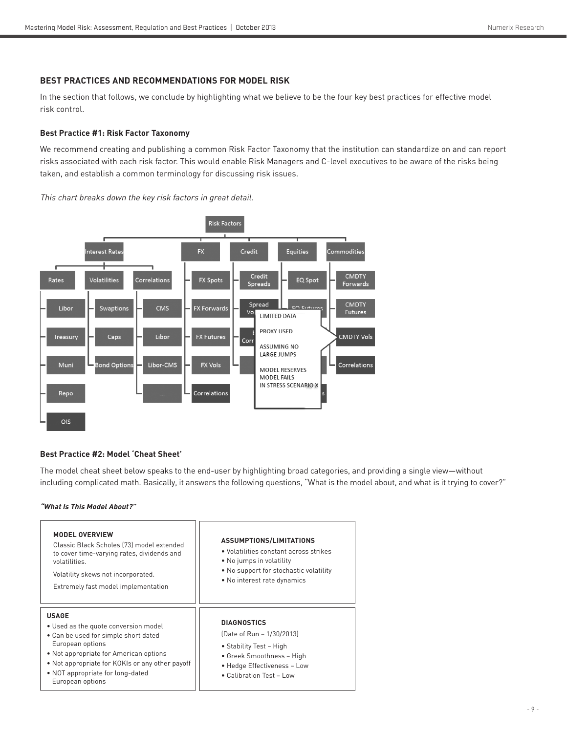# **BEST PRACTICES AND RECOMMENDATIONS FOR MODEL RISK**

In the section that follows, we conclude by highlighting what we believe to be the four key best practices for effective model risk control.

# **Best Practice #1: Risk Factor Taxonomy**

We recommend creating and publishing a common Risk Factor Taxonomy that the institution can standardize on and can report risks associated with each risk factor. This would enable Risk Managers and C-level executives to be aware of the risks being taken, and establish a common terminology for discussing risk issues.

This chart breaks down the key risk factors in great detail.



# **Best Practice #2: Model 'Cheat Sheet'**

The model cheat sheet below speaks to the end-user by highlighting broad categories, and providing a single view—without including complicated math. Basically, it answers the following questions, "What is the model about, and what is it trying to cover?"

# **"What Is This Model About?"**

| <b>MODEL OVERVIEW</b><br>Classic Black Scholes [73] model extended<br>to cover time-varying rates, dividends and<br>volatilities.<br>Volatility skews not incorporated.<br>Extremely fast model implementation                                                        | ASSUMPTIONS/LIMITATIONS<br>• Volatilities constant across strikes<br>• No jumps in volatility<br>. No support for stochastic volatility<br>• No interest rate dynamics     |
|-----------------------------------------------------------------------------------------------------------------------------------------------------------------------------------------------------------------------------------------------------------------------|----------------------------------------------------------------------------------------------------------------------------------------------------------------------------|
| <b>USAGE</b><br>• Used as the quote conversion model<br>• Can be used for simple short dated<br>European options<br>• Not appropriate for American options<br>• Not appropriate for KOKIs or any other payoff<br>• NOT appropriate for long-dated<br>European options | <b>DIAGNOSTICS</b><br>(Date of Run - 1/30/2013)<br>• Stability Test – High<br>• Greek Smoothness - High<br>• Hedge Effectiveness - Low<br>$\bullet$ Calibration Test - Low |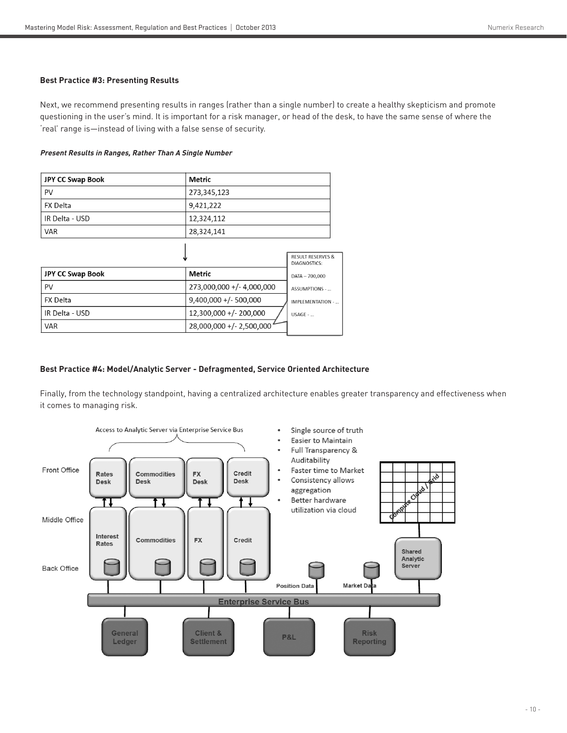# **Best Practice #3: Presenting Results**

Next, we recommend presenting results in ranges (rather than a single number) to create a healthy skepticism and promote questioning in the user's mind. It is important for a risk manager, or head of the desk, to have the same sense of where the 'real' range is—instead of living with a false sense of security.

#### **Present Results in Ranges, Rather Than A Single Number**

| <b>JPY CC Swap Book</b>   | <b>Metric</b>     |                                                     |
|---------------------------|-------------------|-----------------------------------------------------|
| PV                        | 273,345,123       |                                                     |
| <b>FX Delta</b>           | 9,421,222         |                                                     |
| IR Delta - USD            | 12,324,112        |                                                     |
| <b>VAR</b>                | 28,324,141        |                                                     |
|                           |                   |                                                     |
|                           |                   | <b>RESULT RESERVES &amp;</b><br><b>DIAGNOSTICS:</b> |
| $100$ contains $B = -1$ . | $0.0 - 0.1 - 0.0$ |                                                     |

|                         |                           | DIAGNOSTICS:     |
|-------------------------|---------------------------|------------------|
| <b>JPY CC Swap Book</b> | Metric                    | DATA - 700,000   |
| PV                      | 273,000,000 +/- 4,000,000 | ASSUMPTIONS -    |
| FX Delta                | $9,400,000 +/- 500,000$   | IMPLEMENTATION - |
| IR Delta - USD          | 12,300,000 +/- 200,000    | $USAGE - $       |
| <b>VAR</b>              | 28,000,000 +/- 2,500,000  |                  |

# **Best Practice #4: Model/Analytic Server - Defragmented, Service Oriented Architecture**

Finally, from the technology standpoint, having a centralized architecture enables greater transparency and effectiveness when it comes to managing risk.

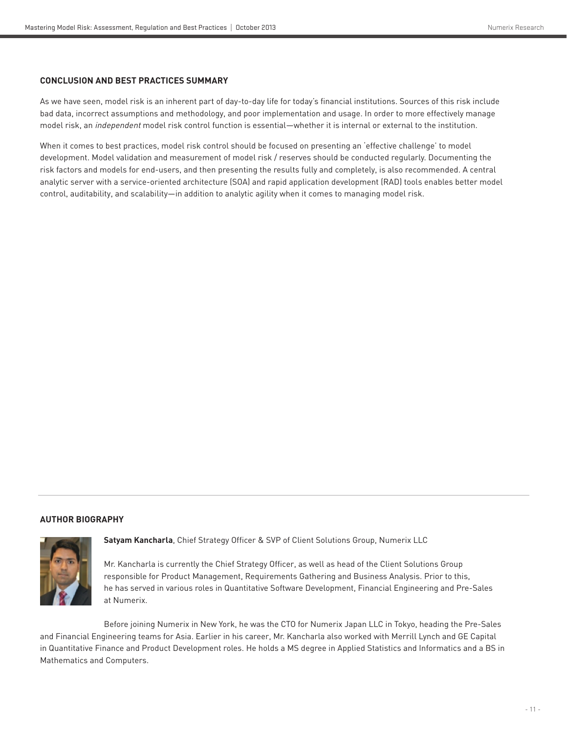#### **CONCLUSION AND BEST PRACTICES SUMMARY**

As we have seen, model risk is an inherent part of day-to-day life for today's financial institutions. Sources of this risk include bad data, incorrect assumptions and methodology, and poor implementation and usage. In order to more effectively manage model risk, an independent model risk control function is essential—whether it is internal or external to the institution.

When it comes to best practices, model risk control should be focused on presenting an 'effective challenge' to model development. Model validation and measurement of model risk / reserves should be conducted regularly. Documenting the risk factors and models for end-users, and then presenting the results fully and completely, is also recommended. A central analytic server with a service-oriented architecture (SOA) and rapid application development (RAD) tools enables better model control, auditability, and scalability—in addition to analytic agility when it comes to managing model risk.

#### **AUTHOR BIOGRAPHY**



**Satyam Kancharla**, Chief Strategy Officer & SVP of Client Solutions Group, Numerix LLC

Mr. Kancharla is currently the Chief Strategy Officer, as well as head of the Client Solutions Group responsible for Product Management, Requirements Gathering and Business Analysis. Prior to this, he has served in various roles in Quantitative Software Development, Financial Engineering and Pre-Sales at Numerix.

Before joining Numerix in New York, he was the CTO for Numerix Japan LLC in Tokyo, heading the Pre-Sales and Financial Engineering teams for Asia. Earlier in his career, Mr. Kancharla also worked with Merrill Lynch and GE Capital in Quantitative Finance and Product Development roles. He holds a MS degree in Applied Statistics and Informatics and a BS in Mathematics and Computers.